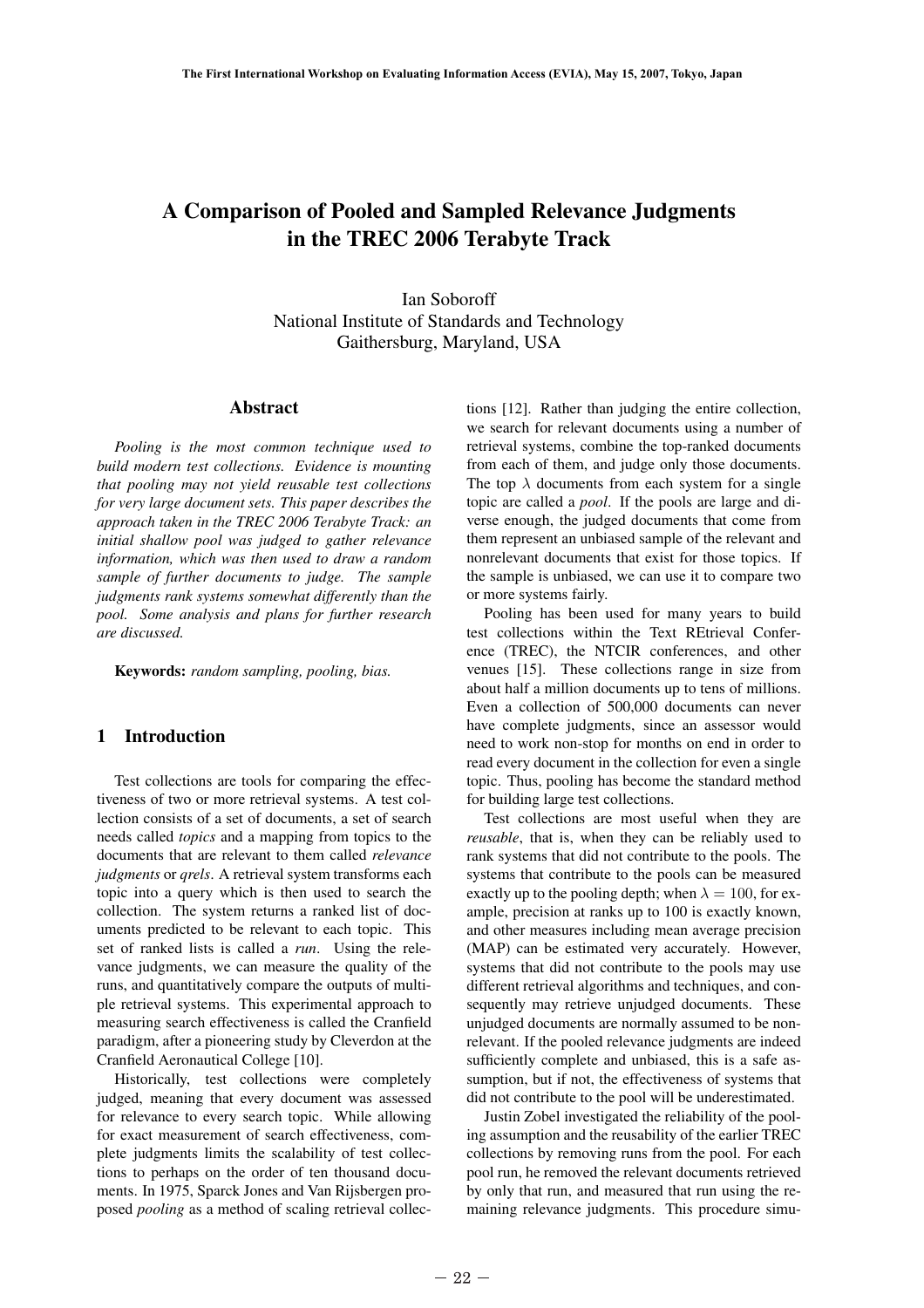# A Comparison of Pooled and Sampled Relevance Judgments in the TREC 2006 Terabyte Track

Ian Soboroff National Institute of Standards and Technology Gaithersburg, Maryland, USA

#### Abstract

*Pooling is the most common technique used to build modern test collections. Evidence is mounting that pooling may not yield reusable test collections for very large document sets. This paper describes the approach taken in the TREC 2006 Terabyte Track: an initial shallow pool was judged to gather relevance information, which was then used to draw a random sample of further documents to judge. The sample judgments rank systems somewhat differently than the pool. Some analysis and plans for further research are discussed.*

Keywords: *random sampling, pooling, bias.*

# 1 Introduction

Test collections are tools for comparing the effectiveness of two or more retrieval systems. A test collection consists of a set of documents, a set of search needs called *topics* and a mapping from topics to the documents that are relevant to them called *relevance judgments* or *qrels*. A retrieval system transforms each topic into a query which is then used to search the collection. The system returns a ranked list of documents predicted to be relevant to each topic. This set of ranked lists is called a *run*. Using the relevance judgments, we can measure the quality of the runs, and quantitatively compare the outputs of multiple retrieval systems. This experimental approach to measuring search effectiveness is called the Cranfield paradigm, after a pioneering study by Cleverdon at the Cranfield Aeronautical College [10]. 1 Introd<br>Test colle<br>tiveness of ty<br>lection consi<br>needs called<br>documents the<br>*judgments* or<br>topic into a<br>collection.<br>Tuments pred<br>set of ranke<br>vance judgm<br>runs, and qua<br>ple retrieval<br>measuring se<br>paradigm, af<br>Cranfield Ae<br>H

Historically, test collections were completely judged, meaning that every document was assessed for relevance to every search topic. While allowing for exact measurement of search effectiveness, complete judgments limits the scalability of test collections to perhaps on the order of ten thousand documents. In 1975, Sparck Jones and Van Rijsbergen proposed *pooling* as a method of scaling retrieval collections [12]. Rather than judging the entire collection, we search for relevant documents using a number of retrieval systems, combine the top-ranked documents from each of them, and judge only those documents. The top  $\lambda$  documents from each system for a single topic are called a *pool*. If the pools are large and diverse enough, the judged documents that come from them represent an unbiased sample of the relevant and nonrelevant documents that exist for those topics. If the sample is unbiased, we can use it to compare two or more systems fairly.

Pooling has been used for many years to build test collections within the Text REtrieval Conference (TREC), the NTCIR conferences, and other venues [15]. These collections range in size from about half a million documents up to tens of millions. Even a collection of 500,000 documents can never have complete judgments, since an assessor would need to work non-stop for months on end in order to read every document in the collection for even a single topic. Thus, pooling has become the standard method for building large test collections.

Test collections are most useful when they are *reusable*, that is, when they can be reliably used to rank systems that did not contribute to the pools. The systems that contribute to the pools can be measured exactly up to the pooling depth; when  $\lambda = 100$ , for example, precision at ranks up to 100 is exactly known, and other measures including mean average precision (MAP) can be estimated very accurately. However, systems that did not contribute to the pools may use different retrieval algorithms and techniques, and consequently may retrieve unjudged documents. These unjudged documents are normally assumed to be nonrelevant. If the pooled relevance judgments are indeed sufficiently complete and unbiased, this is a safe assumption, but if not, the effectiveness of systems that did not contribute to the pool will be underestimated.

Justin Zobel investigated the reliability of the pooling assumption and the reusability of the earlier TREC collections by removing runs from the pool. For each pool run, he removed the relevant documents retrieved by only that run, and measured that run using the remaining relevance judgments. This procedure simu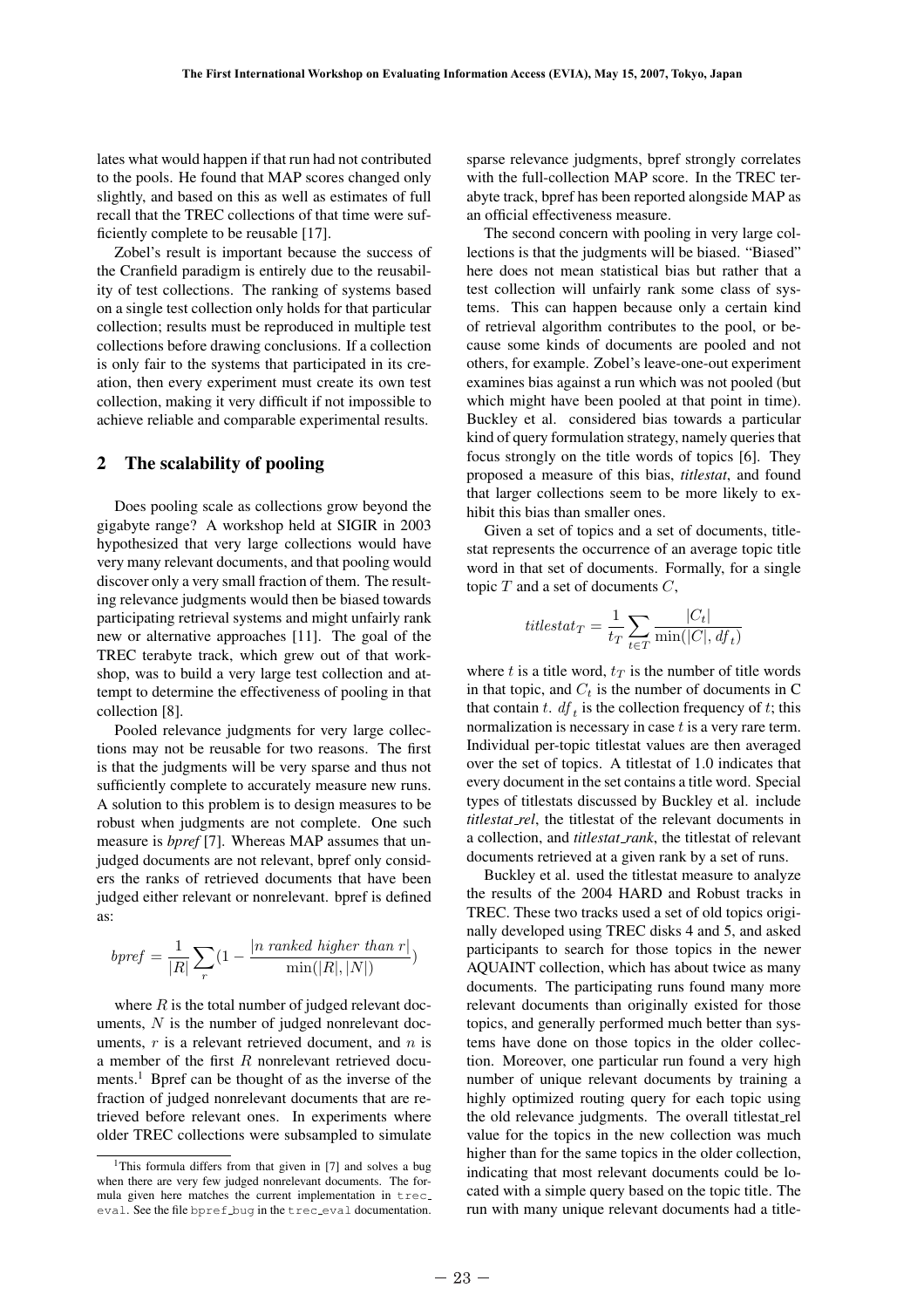lates what would happen if that run had not contributed to the pools. He found that MAP scores changed only slightly, and based on this as well as estimates of full recall that the TREC collections of that time were sufficiently complete to be reusable [17].

Zobel's result is important because the success of the Cranfield paradigm is entirely due to the reusability of test collections. The ranking of systems based on a single test collection only holds for that particular collection; results must be reproduced in multiple test collections before drawing conclusions. If a collection is only fair to the systems that participated in its creation, then every experiment must create its own test collection, making it very difficult if not impossible to achieve reliable and comparable experimental results.

# 2 The scalability of pooling

Does pooling scale as collections grow beyond the gigabyte range? A workshop held at SIGIR in 2003 hypothesized that very large collections would have very many relevant documents, and that pooling would discover only a very small fraction of them. The resulting relevance judgments would then be biased towards participating retrieval systems and might unfairly rank new or alternative approaches [11]. The goal of the TREC terabyte track, which grew out of that workshop, was to build a very large test collection and attempt to determine the effectiveness of pooling in that collection [8].

Pooled relevance judgments for very large collections may not be reusable for two reasons. The first is that the judgments will be very sparse and thus not sufficiently complete to accurately measure new runs. A solution to this problem is to design measures to be robust when judgments are not complete. One such measure is *bpref* [7]. Whereas MAP assumes that unjudged documents are not relevant, bpref only considers the ranks of retrieved documents that have been judged either relevant or nonrelevant. bpref is defined as: collection [8]<br>
Pooled re<br>
tions may not<br>
is that the juve sufficiently c<br>
A solution to<br>
robust when<br>
measure is *b*,<br>
judged docurers the ranks<br>
judged either<br>
as:<br> *bpref* =  $\frac{1}{|}$ ,<br>
where *R* i<br>
uments, *N* is<br>
ume

$$
bpref = \frac{1}{|R|} \sum_{r} (1 - \frac{|n \text{ ranked higher than } r|}{\min(|R|, |N|)})
$$

where  $R$  is the total number of judged relevant documents,  $N$  is the number of judged nonrelevant documents,  $r$  is a relevant retrieved document, and  $n$  is a member of the first R nonrelevant retrieved documents.1 Bpref can be thought of as the inverse of the fraction of judged nonrelevant documents that are retrieved before relevant ones. In experiments where older TREC collections were subsampled to simulate sparse relevance judgments, bpref strongly correlates with the full-collection MAP score. In the TREC terabyte track, bpref has been reported alongside MAP as an official effectiveness measure.

The second concern with pooling in very large collections is that the judgments will be biased. "Biased" here does not mean statistical bias but rather that a test collection will unfairly rank some class of systems. This can happen because only a certain kind of retrieval algorithm contributes to the pool, or because some kinds of documents are pooled and not others, for example. Zobel's leave-one-out experiment examines bias against a run which was not pooled (but which might have been pooled at that point in time). Buckley et al. considered bias towards a particular kind of query formulation strategy, namely queries that focus strongly on the title words of topics [6]. They proposed a measure of this bias, *titlestat*, and found that larger collections seem to be more likely to exhibit this bias than smaller ones.

Given a set of topics and a set of documents, titlestat represents the occurrence of an average topic title word in that set of documents. Formally, for a single topic  $T$  and a set of documents  $C$ ,

$$
titlestat_T = \frac{1}{t_T} \sum_{t \in T} \frac{|C_t|}{\min(|C|, df_t)}
$$

where t is a title word,  $t_T$  is the number of title words in that topic, and  $C_t$  is the number of documents in C that contain t.  $df_t$  is the collection frequency of t; this normalization is necessary in case  $t$  is a very rare term. Individual per-topic titlestat values are then averaged over the set of topics. A titlestat of 1.0 indicates that every document in the set contains a title word. Special types of titlestats discussed by Buckley et al. include *titlestat rel*, the titlestat of the relevant documents in a collection, and *titlestat rank*, the titlestat of relevant documents retrieved at a given rank by a set of runs.

Buckley et al. used the titlestat measure to analyze the results of the 2004 HARD and Robust tracks in TREC. These two tracks used a set of old topics originally developed using TREC disks 4 and 5, and asked participants to search for those topics in the newer AQUAINT collection, which has about twice as many documents. The participating runs found many more relevant documents than originally existed for those topics, and generally performed much better than systems have done on those topics in the older collection. Moreover, one particular run found a very high number of unique relevant documents by training a highly optimized routing query for each topic using the old relevance judgments. The overall titlestat rel value for the topics in the new collection was much higher than for the same topics in the older collection, indicating that most relevant documents could be located with a simple query based on the topic title. The run with many unique relevant documents had a title-

<sup>&</sup>lt;sup>1</sup>This formula differs from that given in [7] and solves a bug when there are very few judged nonrelevant documents. The formula given here matches the current implementation in trec eval. See the file bpref bug in the trec eval documentation.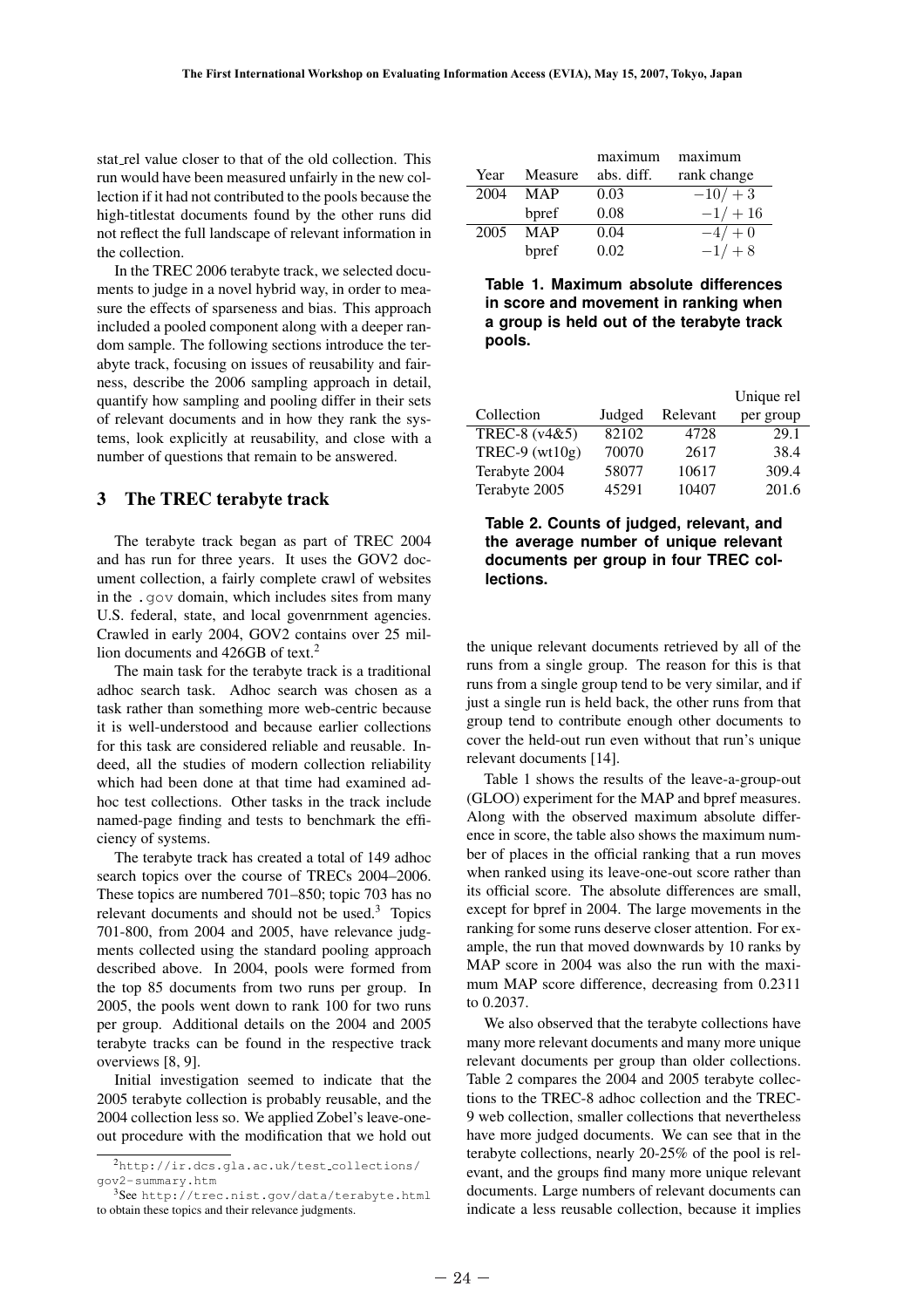stat rel value closer to that of the old collection. This run would have been measured unfairly in the new collection if it had not contributed to the pools because the high-titlestat documents found by the other runs did not reflect the full landscape of relevant information in the collection.

In the TREC 2006 terabyte track, we selected documents to judge in a novel hybrid way, in order to measure the effects of sparseness and bias. This approach included a pooled component along with a deeper random sample. The following sections introduce the terabyte track, focusing on issues of reusability and fairness, describe the 2006 sampling approach in detail, quantify how sampling and pooling differ in their sets of relevant documents and in how they rank the systems, look explicitly at reusability, and close with a number of questions that remain to be answered.

# 3 The TREC terabyte track

The terabyte track began as part of TREC 2004 and has run for three years. It uses the GOV2 document collection, a fairly complete crawl of websites in the .gov domain, which includes sites from many U.S. federal, state, and local govenrnment agencies. Crawled in early 2004, GOV2 contains over 25 million documents and 426GB of text.<sup>2</sup>

The main task for the terabyte track is a traditional adhoc search task. Adhoc search was chosen as a task rather than something more web-centric because it is well-understood and because earlier collections for this task are considered reliable and reusable. Indeed, all the studies of modern collection reliability which had been done at that time had examined adhoc test collections. Other tasks in the track include named-page finding and tests to benchmark the efficiency of systems.

The terabyte track has created a total of 149 adhoc search topics over the course of TRECs 2004–2006. These topics are numbered 701–850; topic 703 has no relevant documents and should not be used.<sup>3</sup> Topics 701-800, from 2004 and 2005, have relevance judgments collected using the standard pooling approach described above. In 2004, pools were formed from the top 85 documents from two runs per group. In 2005, the pools went down to rank 100 for two runs per group. Additional details on the 2004 and 2005 terabyte tracks can be found in the respective track overviews [8, 9]. task rather the it is well-un<br>for this task<br>deed, all the<br>which had b<br>hoc test coll<br>named-page<br>ciency of sys<br>The teraby<br>search topics<br>These topics<br>These topics<br>relevant docu<br>701-800, fro<br>ments collec<br>described ab<br>the top

Initial investigation seemed to indicate that the 2005 terabyte collection is probably reusable, and the 2004 collection less so. We applied Zobel's leave-oneout procedure with the modification that we hold out

|      |         | maximum    | maximum     |
|------|---------|------------|-------------|
| Year | Measure | abs. diff. | rank change |
| 2004 | MAP     | 0.03       | $-10/ + 3$  |
|      | bpref   | 0.08       | $-1/ + 16$  |
| 2005 | MAP     | 0.04       | $-4/ + 0$   |
|      | bpref   | 0.02       | $-1/ + 8$   |

**Table 1. Maximum absolute differences in score and movement in ranking when a group is held out of the terabyte track pools.**

|                  |        |          | Unique rel |
|------------------|--------|----------|------------|
| Collection       | Judged | Relevant | per group  |
| TREC-8 (v4&5)    | 82102  | 4728     | 29.1       |
| TREC-9 $(wt10g)$ | 70070  | 2617     | 38.4       |
| Terabyte 2004    | 58077  | 10617    | 309.4      |
| Terabyte 2005    | 45291  | 10407    | 201.6      |

**Table 2. Counts of judged, relevant, and the average number of unique relevant documents per group in four TREC collections.**

the unique relevant documents retrieved by all of the runs from a single group. The reason for this is that runs from a single group tend to be very similar, and if just a single run is held back, the other runs from that group tend to contribute enough other documents to cover the held-out run even without that run's unique relevant documents [14].

Table 1 shows the results of the leave-a-group-out (GLOO) experiment for the MAP and bpref measures. Along with the observed maximum absolute difference in score, the table also shows the maximum number of places in the official ranking that a run moves when ranked using its leave-one-out score rather than its official score. The absolute differences are small, except for bpref in 2004. The large movements in the ranking for some runs deserve closer attention. For example, the run that moved downwards by 10 ranks by MAP score in 2004 was also the run with the maximum MAP score difference, decreasing from 0.2311 to 0.2037.

We also observed that the terabyte collections have many more relevant documents and many more unique relevant documents per group than older collections. Table 2 compares the 2004 and 2005 terabyte collections to the TREC-8 adhoc collection and the TREC-9 web collection, smaller collections that nevertheless have more judged documents. We can see that in the terabyte collections, nearly 20-25% of the pool is relevant, and the groups find many more unique relevant documents. Large numbers of relevant documents can indicate a less reusable collection, because it implies

<sup>2</sup>http://ir.dcs.gla.ac.uk/test collections/ gov2-summary.htm

<sup>3</sup>See http://trec.nist.gov/data/terabyte.html to obtain these topics and their relevance judgments.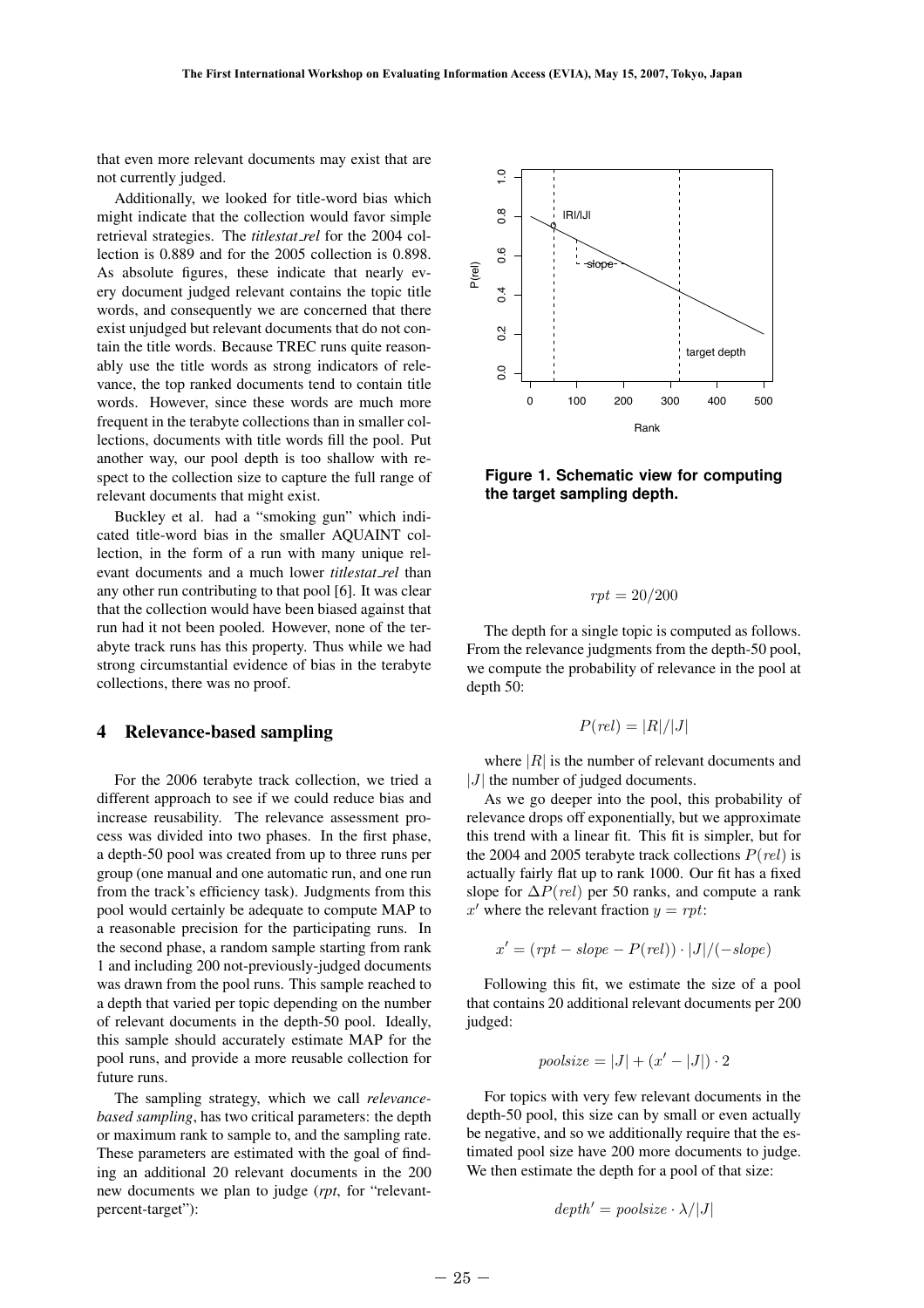that even more relevant documents may exist that are not currently judged.

Additionally, we looked for title-word bias which might indicate that the collection would favor simple retrieval strategies. The *titlestat rel* for the 2004 collection is 0.889 and for the 2005 collection is 0.898. As absolute figures, these indicate that nearly every document judged relevant contains the topic title words, and consequently we are concerned that there exist unjudged but relevant documents that do not contain the title words. Because TREC runs quite reasonably use the title words as strong indicators of relevance, the top ranked documents tend to contain title words. However, since these words are much more frequent in the terabyte collections than in smaller collections, documents with title words fill the pool. Put another way, our pool depth is too shallow with respect to the collection size to capture the full range of relevant documents that might exist.

Buckley et al. had a "smoking gun" which indicated title-word bias in the smaller AQUAINT collection, in the form of a run with many unique relevant documents and a much lower *titlestat rel* than any other run contributing to that pool [6]. It was clear that the collection would have been biased against that run had it not been pooled. However, none of the terabyte track runs has this property. Thus while we had strong circumstantial evidence of bias in the terabyte collections, there was no proof.

#### 4 Relevance-based sampling

For the 2006 terabyte track collection, we tried a different approach to see if we could reduce bias and increase reusability. The relevance assessment process was divided into two phases. In the first phase, a depth-50 pool was created from up to three runs per group (one manual and one automatic run, and one run from the track's efficiency task). Judgments from this pool would certainly be adequate to compute MAP to a reasonable precision for the participating runs. In the second phase, a random sample starting from rank 1 and including 200 not-previously-judged documents was drawn from the pool runs. This sample reached to a depth that varied per topic depending on the number of relevant documents in the depth-50 pool. Ideally, this sample should accurately estimate MAP for the pool runs, and provide a more reusable collection for future runs. 4 Releva<br>
For the 20<br>
different app<br>
increase reus<br>
cess was div<br>
a depth-50 p<br>
group (one m<br>
from the trace<br>
pool would c<br>
a reasonable<br>
the second p<br>
1 and includi<br>
was drawn fr<br>
a depth that<br>
of relevant d<br>
this sample<br>

The sampling strategy, which we call *relevancebased sampling*, has two critical parameters: the depth or maximum rank to sample to, and the sampling rate. These parameters are estimated with the goal of finding an additional 20 relevant documents in the 200 new documents we plan to judge (*rpt*, for "relevantpercent-target"):



**Figure 1. Schematic view for computing the target sampling depth.**

$$
rpt = 20/200
$$

The depth for a single topic is computed as follows. From the relevance judgments from the depth-50 pool, we compute the probability of relevance in the pool at depth 50:

$$
P(\text{rel}) = |R|/|J|
$$

where  $|R|$  is the number of relevant documents and  $|J|$  the number of judged documents.

As we go deeper into the pool, this probability of relevance drops off exponentially, but we approximate this trend with a linear fit. This fit is simpler, but for the 2004 and 2005 terabyte track collections  $P(\text{rel})$  is actually fairly flat up to rank 1000. Our fit has a fixed slope for  $\Delta P$ (*rel*) per 50 ranks, and compute a rank x' where the relevant fraction  $y = rpt$ :

$$
x' = (rpt - slope - P(\text{rel})) \cdot |J| / (-slope)
$$

Following this fit, we estimate the size of a pool that contains 20 additional relevant documents per 200 judged:

$$
poolsize = |J| + (x' - |J|) \cdot 2
$$

For topics with very few relevant documents in the depth-50 pool, this size can by small or even actually be negative, and so we additionally require that the estimated pool size have 200 more documents to judge. We then estimate the depth for a pool of that size:

$$
depth' = poolsize \cdot \lambda / |J|
$$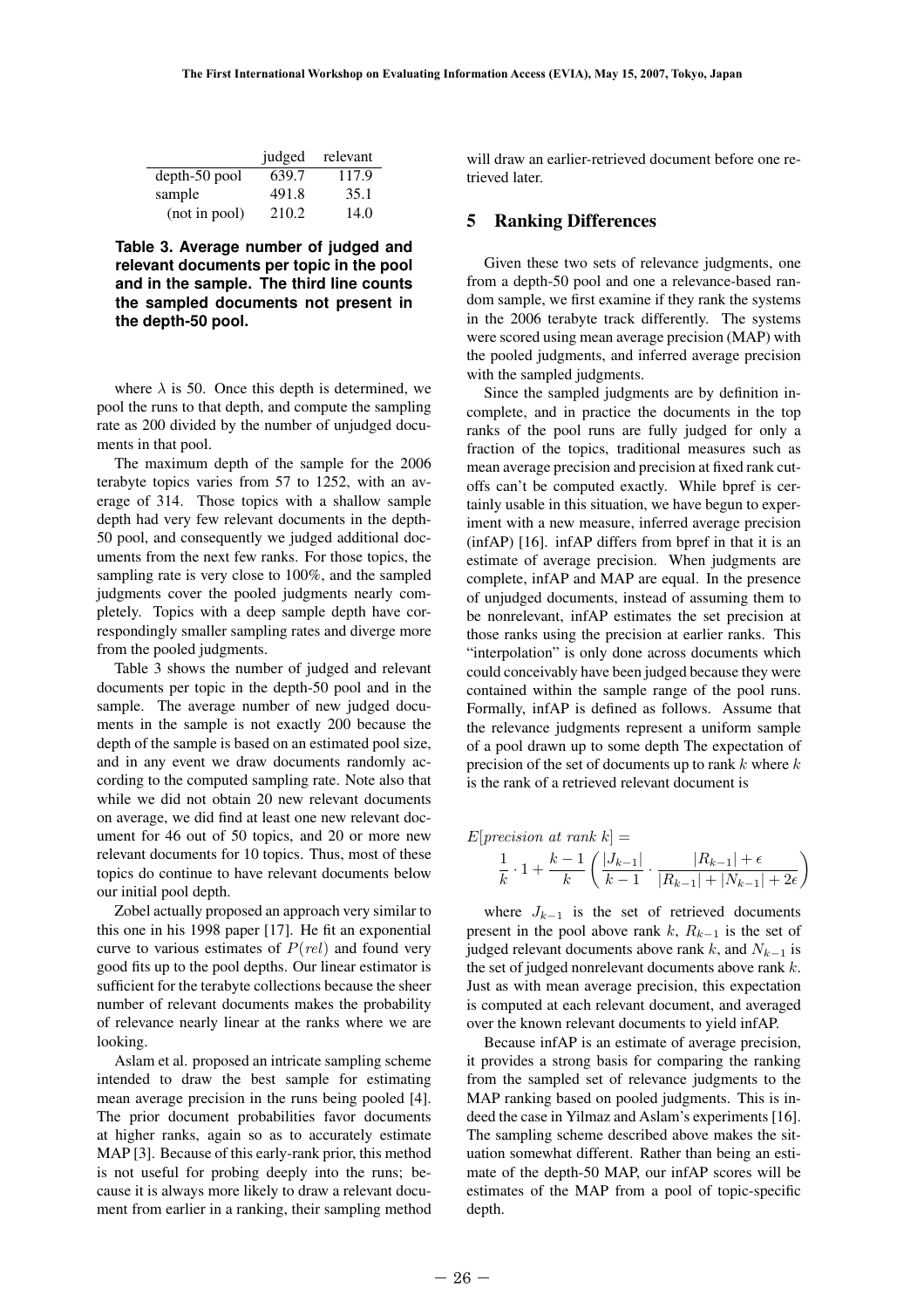|               | judged | relevant |
|---------------|--------|----------|
| depth-50 pool | 639.7  | 117.9    |
| sample        | 491.8  | 35.1     |
| (not in pool) | 210.2  | 14.0     |

**Table 3. Average number of judged and relevant documents per topic in the pool and in the sample. The third line counts the sampled documents not present in the depth-50 pool.**

where  $\lambda$  is 50. Once this depth is determined, we pool the runs to that depth, and compute the sampling rate as 200 divided by the number of unjudged documents in that pool.

The maximum depth of the sample for the 2006 terabyte topics varies from 57 to 1252, with an average of 314. Those topics with a shallow sample depth had very few relevant documents in the depth-50 pool, and consequently we judged additional documents from the next few ranks. For those topics, the sampling rate is very close to 100%, and the sampled judgments cover the pooled judgments nearly completely. Topics with a deep sample depth have correspondingly smaller sampling rates and diverge more from the pooled judgments.

Table 3 shows the number of judged and relevant documents per topic in the depth-50 pool and in the sample. The average number of new judged documents in the sample is not exactly 200 because the depth of the sample is based on an estimated pool size, and in any event we draw documents randomly according to the computed sampling rate. Note also that while we did not obtain 20 new relevant documents on average, we did find at least one new relevant document for 46 out of 50 topics, and 20 or more new relevant documents for 10 topics. Thus, most of these topics do continue to have relevant documents below our initial pool depth. sample. In<br>ments in the<br>depth of the s<br>and in any c<br>cording to th<br>while we did<br>on average, v<br>ument for 4<br>relevant docu<br>topics do con<br>our initial po<br>Zobel actu<br>this one in h<br>curve to vari<br>good fits up 1<br>sufficient for<br>numbe

Zobel actually proposed an approach very similar to this one in his 1998 paper [17]. He fit an exponential curve to various estimates of  $P(\text{rel})$  and found very good fits up to the pool depths. Our linear estimator is sufficient for the terabyte collections because the sheer number of relevant documents makes the probability of relevance nearly linear at the ranks where we are looking.

Aslam et al. proposed an intricate sampling scheme intended to draw the best sample for estimating mean average precision in the runs being pooled [4]. The prior document probabilities favor documents at higher ranks, again so as to accurately estimate MAP [3]. Because of this early-rank prior, this method is not useful for probing deeply into the runs; because it is always more likely to draw a relevant document from earlier in a ranking, their sampling method will draw an earlier-retrieved document before one retrieved later.

#### 5 Ranking Differences

Given these two sets of relevance judgments, one from a depth-50 pool and one a relevance-based random sample, we first examine if they rank the systems in the 2006 terabyte track differently. The systems were scored using mean average precision (MAP) with the pooled judgments, and inferred average precision with the sampled judgments.

Since the sampled judgments are by definition incomplete, and in practice the documents in the top ranks of the pool runs are fully judged for only a fraction of the topics, traditional measures such as mean average precision and precision at fixed rank cutoffs can't be computed exactly. While bpref is certainly usable in this situation, we have begun to experiment with a new measure, inferred average precision (infAP) [16]. infAP differs from bpref in that it is an estimate of average precision. When judgments are complete, infAP and MAP are equal. In the presence of unjudged documents, instead of assuming them to be nonrelevant, infAP estimates the set precision at those ranks using the precision at earlier ranks. This "interpolation" is only done across documents which could conceivably have been judged because they were contained within the sample range of the pool runs. Formally, infAP is defined as follows. Assume that the relevance judgments represent a uniform sample of a pool drawn up to some depth The expectation of precision of the set of documents up to rank  $k$  where  $k$ is the rank of a retrieved relevant document is

$$
E[precision at rank k] =
$$
  

$$
\frac{1}{k} \cdot 1 + \frac{k-1}{k} \left( \frac{|J_{k-1}|}{k-1} \cdot \frac{|R_{k-1}| + \epsilon}{|R_{k-1}| + |N_{k-1}| + 2\epsilon} \right)
$$

where  $J_{k-1}$  is the set of retrieved documents present in the pool above rank  $k$ ,  $R_{k-1}$  is the set of judged relevant documents above rank k, and  $N_{k-1}$  is the set of judged nonrelevant documents above rank  $k$ . Just as with mean average precision, this expectation is computed at each relevant document, and averaged over the known relevant documents to yield infAP.

Because infAP is an estimate of average precision, it provides a strong basis for comparing the ranking from the sampled set of relevance judgments to the MAP ranking based on pooled judgments. This is indeed the case in Yilmaz and Aslam's experiments [16]. The sampling scheme described above makes the situation somewhat different. Rather than being an estimate of the depth-50 MAP, our infAP scores will be estimates of the MAP from a pool of topic-specific depth.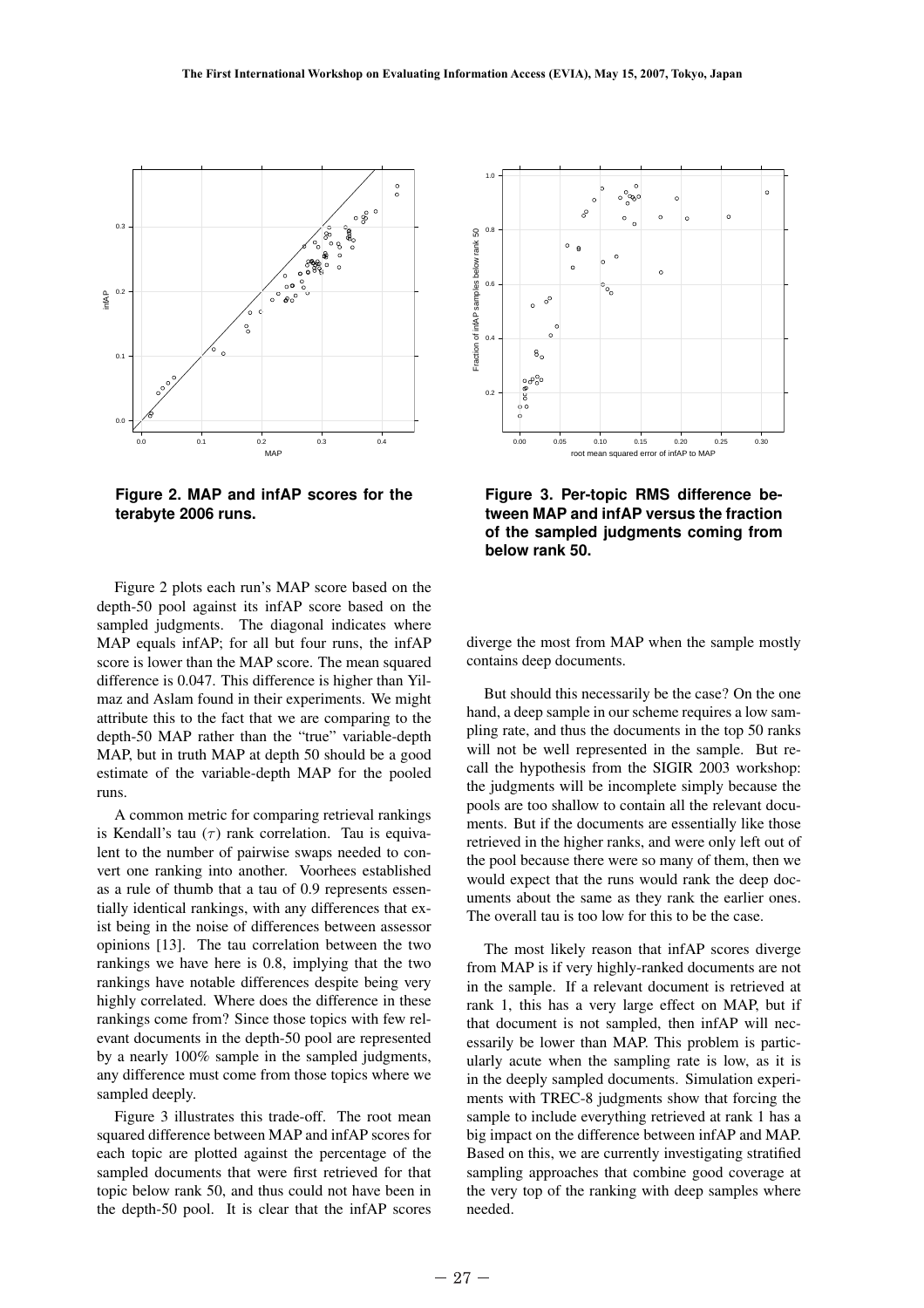

**Figure 2. MAP and infAP scores for the terabyte 2006 runs.**

Figure 2 plots each run's MAP score based on the depth-50 pool against its infAP score based on the sampled judgments. The diagonal indicates where MAP equals infAP; for all but four runs, the infAP score is lower than the MAP score. The mean squared difference is 0.047. This difference is higher than Yilmaz and Aslam found in their experiments. We might attribute this to the fact that we are comparing to the depth-50 MAP rather than the "true" variable-depth MAP, but in truth MAP at depth 50 should be a good estimate of the variable-depth MAP for the pooled runs.

A common metric for comparing retrieval rankings is Kendall's tau  $(\tau)$  rank correlation. Tau is equivalent to the number of pairwise swaps needed to convert one ranking into another. Voorhees established as a rule of thumb that a tau of 0.9 represents essentially identical rankings, with any differences that exist being in the noise of differences between assessor opinions [13]. The tau correlation between the two rankings we have here is 0.8, implying that the two rankings have notable differences despite being very highly correlated. Where does the difference in these rankings come from? Since those topics with few relevant documents in the depth-50 pool are represented by a nearly 100% sample in the sampled judgments, any difference must come from those topics where we sampled deeply. score is lowe<br>score is lowe<br>difference is<br>maz and Asli<br>attribute this<br>depth-50 M/<br>MAP, but in<br>estimate of<br>runs.<br>A commo<br>is Kendal's<br>lent to the numeral as a rule of tially identic<br>is theing in t<br>opinions [13]<br>rankings we<br>r

Figure 3 illustrates this trade-off. The root mean squared difference between MAP and infAP scores for each topic are plotted against the percentage of the sampled documents that were first retrieved for that topic below rank 50, and thus could not have been in the depth-50 pool. It is clear that the infAP scores



**Figure 3. Per-topic RMS difference between MAP and infAP versus the fraction of the sampled judgments coming from below rank 50.**

diverge the most from MAP when the sample mostly contains deep documents.

But should this necessarily be the case? On the one hand, a deep sample in our scheme requires a low sampling rate, and thus the documents in the top 50 ranks will not be well represented in the sample. But recall the hypothesis from the SIGIR 2003 workshop: the judgments will be incomplete simply because the pools are too shallow to contain all the relevant documents. But if the documents are essentially like those retrieved in the higher ranks, and were only left out of the pool because there were so many of them, then we would expect that the runs would rank the deep documents about the same as they rank the earlier ones. The overall tau is too low for this to be the case.

The most likely reason that infAP scores diverge from MAP is if very highly-ranked documents are not in the sample. If a relevant document is retrieved at rank 1, this has a very large effect on MAP, but if that document is not sampled, then infAP will necessarily be lower than MAP. This problem is particularly acute when the sampling rate is low, as it is in the deeply sampled documents. Simulation experiments with TREC-8 judgments show that forcing the sample to include everything retrieved at rank 1 has a big impact on the difference between infAP and MAP. Based on this, we are currently investigating stratified sampling approaches that combine good coverage at the very top of the ranking with deep samples where needed.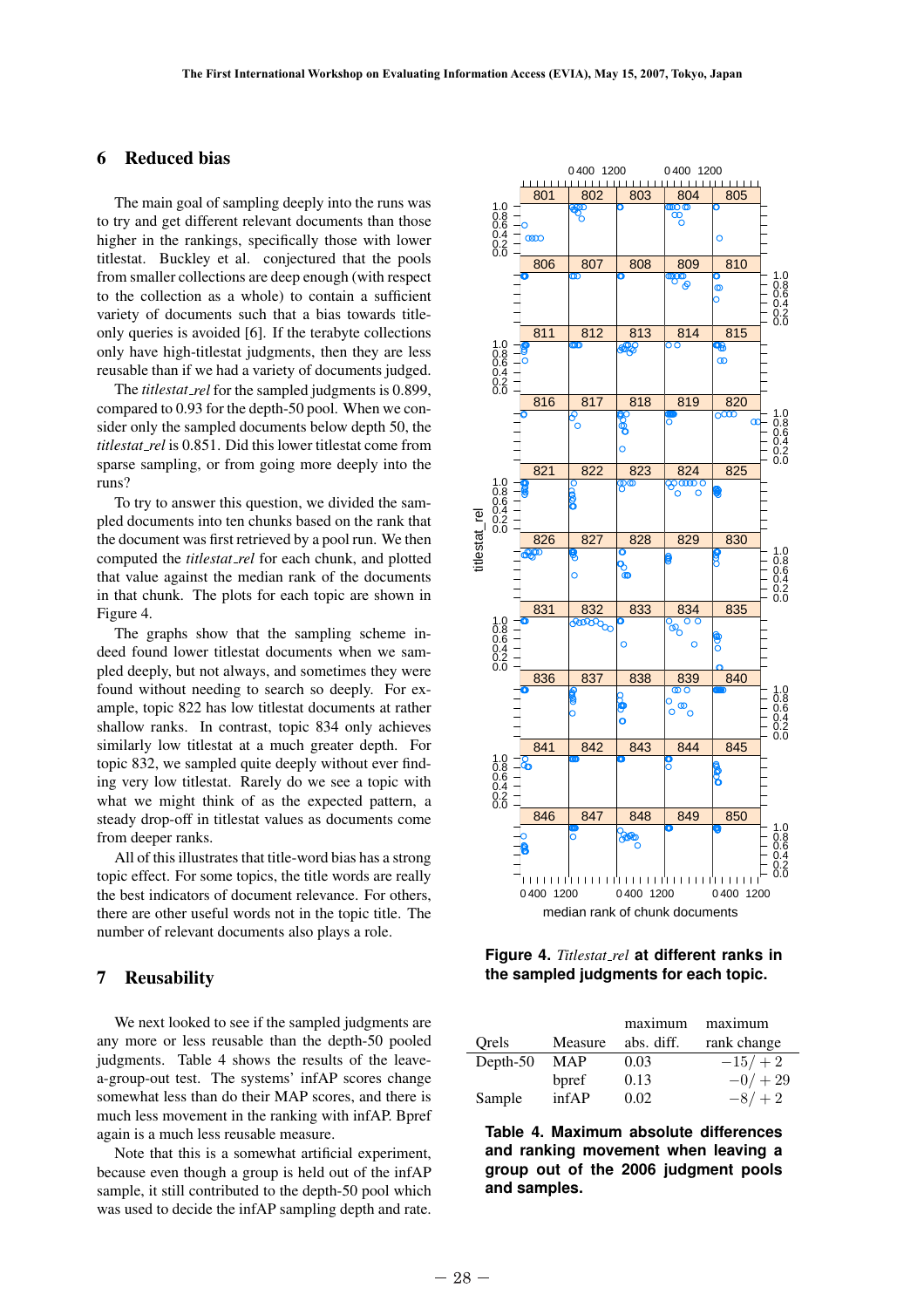# 6 Reduced bias

The main goal of sampling deeply into the runs was to try and get different relevant documents than those higher in the rankings, specifically those with lower titlestat. Buckley et al. conjectured that the pools from smaller collections are deep enough (with respect to the collection as a whole) to contain a sufficient variety of documents such that a bias towards titleonly queries is avoided [6]. If the terabyte collections only have high-titlestat judgments, then they are less reusable than if we had a variety of documents judged.

The *titlestat rel* for the sampled judgments is 0.899, compared to 0.93 for the depth-50 pool. When we consider only the sampled documents below depth 50, the *titlestat rel* is 0.851. Did this lower titlestat come from sparse sampling, or from going more deeply into the runs?

To try to answer this question, we divided the sampled documents into ten chunks based on the rank that the document was first retrieved by a pool run. We then computed the *titlestat rel* for each chunk, and plotted that value against the median rank of the documents in that chunk. The plots for each topic are shown in Figure 4.

The graphs show that the sampling scheme indeed found lower titlestat documents when we sampled deeply, but not always, and sometimes they were found without needing to search so deeply. For example, topic 822 has low titlestat documents at rather shallow ranks. In contrast, topic 834 only achieves similarly low titlestat at a much greater depth. For topic 832, we sampled quite deeply without ever finding very low titlestat. Rarely do we see a topic with what we might think of as the expected pattern, a steady drop-off in titlestat values as documents come from deeper ranks. ample, topic<br>shallow rank<br>similarly lov<br>topic 832, we<br>tig very low<br>what we mi<br>steady drop-<br>from deeper<br>All of this<br>topic effect.<br>the best indic<br>there are oth<br>number of re<br>**7 Reusal**<br>We next lo<br>any more or<br>judgments.<br>a-gr

All of this illustrates that title-word bias has a strong topic effect. For some topics, the title words are really the best indicators of document relevance. For others, there are other useful words not in the topic title. The number of relevant documents also plays a role.

# 7 Reusability

We next looked to see if the sampled judgments are any more or less reusable than the depth-50 pooled judgments. Table 4 shows the results of the leavea-group-out test. The systems' infAP scores change somewhat less than do their MAP scores, and there is much less movement in the ranking with infAP. Bpref again is a much less reusable measure.

Note that this is a somewhat artificial experiment, because even though a group is held out of the infAP sample, it still contributed to the depth-50 pool which was used to decide the infAP sampling depth and rate.



**Figure 4.** *Titlestat rel* **at different ranks in the sampled judgments for each topic.**

|          |            | maximum    | maximum     |
|----------|------------|------------|-------------|
| Orels    | Measure    | abs. diff. | rank change |
| Depth-50 | <b>MAP</b> | 0.03       | $-15/ + 2$  |
|          | bpref      | 0.13       | $-0/ + 29$  |
| Sample   | infAP      | 0.02       | $-8/ + 2$   |

**Table 4. Maximum absolute differences and ranking movement when leaving a group out of the 2006 judgment pools and samples.**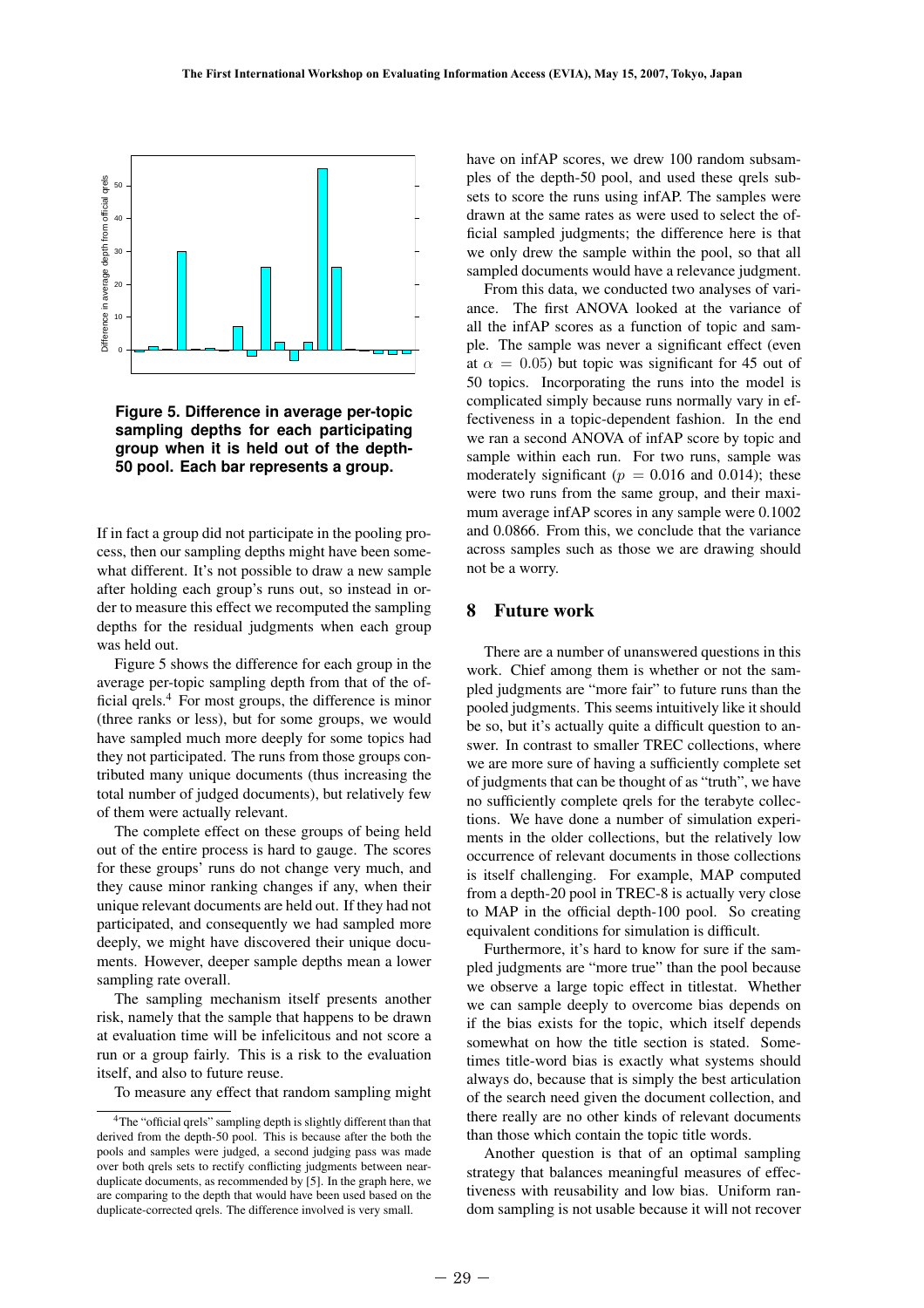

**Figure 5. Difference in average per-topic sampling depths for each participating group when it is held out of the depth-50 pool. Each bar represents a group.**

If in fact a group did not participate in the pooling process, then our sampling depths might have been somewhat different. It's not possible to draw a new sample after holding each group's runs out, so instead in order to measure this effect we recomputed the sampling depths for the residual judgments when each group was held out.

Figure 5 shows the difference for each group in the average per-topic sampling depth from that of the official qrels.<sup>4</sup> For most groups, the difference is minor (three ranks or less), but for some groups, we would have sampled much more deeply for some topics had they not participated. The runs from those groups contributed many unique documents (thus increasing the total number of judged documents), but relatively few of them were actually relevant.

The complete effect on these groups of being held out of the entire process is hard to gauge. The scores for these groups' runs do not change very much, and they cause minor ranking changes if any, when their unique relevant documents are held out. If they had not participated, and consequently we had sampled more deeply, we might have discovered their unique documents. However, deeper sample depths mean a lower sampling rate overall. the ranks<br>(three ranks<br>have sampled<br>they not partit<br>tributed man<br>total number<br>of them were<br>The comp<br>out of the en<br>for these gro<br>they cause n<br>unique releva<br>participated,<br>deeply, we n<br>ments. How<br>sampling rat<br>The samples are

The sampling mechanism itself presents another risk, namely that the sample that happens to be drawn at evaluation time will be infelicitous and not score a run or a group fairly. This is a risk to the evaluation itself, and also to future reuse.

To measure any effect that random sampling might

have on infAP scores, we drew 100 random subsamples of the depth-50 pool, and used these qrels subsets to score the runs using infAP. The samples were drawn at the same rates as were used to select the official sampled judgments; the difference here is that we only drew the sample within the pool, so that all sampled documents would have a relevance judgment.

From this data, we conducted two analyses of variance. The first ANOVA looked at the variance of all the infAP scores as a function of topic and sample. The sample was never a significant effect (even at  $\alpha = 0.05$ ) but topic was significant for 45 out of 50 topics. Incorporating the runs into the model is complicated simply because runs normally vary in effectiveness in a topic-dependent fashion. In the end we ran a second ANOVA of infAP score by topic and sample within each run. For two runs, sample was moderately significant ( $p = 0.016$  and 0.014); these were two runs from the same group, and their maximum average infAP scores in any sample were 0.1002 and 0.0866. From this, we conclude that the variance across samples such as those we are drawing should not be a worry.

### 8 Future work

There are a number of unanswered questions in this work. Chief among them is whether or not the sampled judgments are "more fair" to future runs than the pooled judgments. This seems intuitively like it should be so, but it's actually quite a difficult question to answer. In contrast to smaller TREC collections, where we are more sure of having a sufficiently complete set of judgments that can be thought of as "truth", we have no sufficiently complete qrels for the terabyte collections. We have done a number of simulation experiments in the older collections, but the relatively low occurrence of relevant documents in those collections is itself challenging. For example, MAP computed from a depth-20 pool in TREC-8 is actually very close to MAP in the official depth-100 pool. So creating equivalent conditions for simulation is difficult.

Furthermore, it's hard to know for sure if the sampled judgments are "more true" than the pool because we observe a large topic effect in titlestat. Whether we can sample deeply to overcome bias depends on if the bias exists for the topic, which itself depends somewhat on how the title section is stated. Sometimes title-word bias is exactly what systems should always do, because that is simply the best articulation of the search need given the document collection, and there really are no other kinds of relevant documents than those which contain the topic title words.

Another question is that of an optimal sampling strategy that balances meaningful measures of effectiveness with reusability and low bias. Uniform random sampling is not usable because it will not recover

<sup>4</sup>The "official qrels" sampling depth is slightly different than that derived from the depth-50 pool. This is because after the both the pools and samples were judged, a second judging pass was made over both qrels sets to rectify conflicting judgments between nearduplicate documents, as recommended by [5]. In the graph here, we are comparing to the depth that would have been used based on the duplicate-corrected qrels. The difference involved is very small.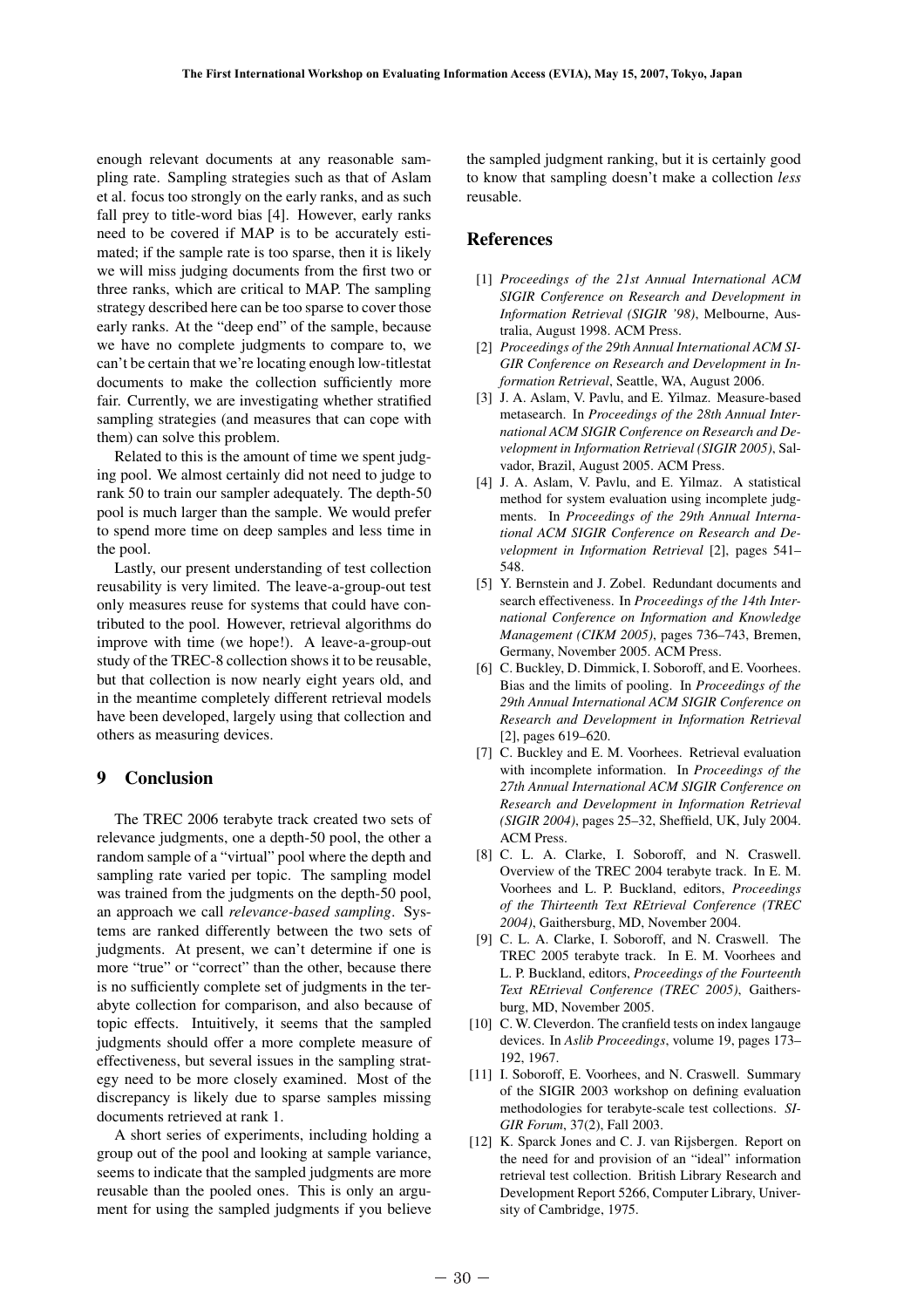enough relevant documents at any reasonable sampling rate. Sampling strategies such as that of Aslam et al. focus too strongly on the early ranks, and as such fall prey to title-word bias [4]. However, early ranks need to be covered if MAP is to be accurately estimated; if the sample rate is too sparse, then it is likely we will miss judging documents from the first two or three ranks, which are critical to MAP. The sampling strategy described here can be too sparse to cover those early ranks. At the "deep end" of the sample, because we have no complete judgments to compare to, we can't be certain that we're locating enough low-titlestat documents to make the collection sufficiently more fair. Currently, we are investigating whether stratified sampling strategies (and measures that can cope with them) can solve this problem.

Related to this is the amount of time we spent judging pool. We almost certainly did not need to judge to rank 50 to train our sampler adequately. The depth-50 pool is much larger than the sample. We would prefer to spend more time on deep samples and less time in the pool.

Lastly, our present understanding of test collection reusability is very limited. The leave-a-group-out test only measures reuse for systems that could have contributed to the pool. However, retrieval algorithms do improve with time (we hope!). A leave-a-group-out study of the TREC-8 collection shows it to be reusable, but that collection is now nearly eight years old, and in the meantime completely different retrieval models have been developed, largely using that collection and others as measuring devices.

# 9 Conclusion

The TREC 2006 terabyte track created two sets of relevance judgments, one a depth-50 pool, the other a random sample of a "virtual" pool where the depth and sampling rate varied per topic. The sampling model was trained from the judgments on the depth-50 pool, an approach we call *relevance-based sampling*. Systems are ranked differently between the two sets of judgments. At present, we can't determine if one is more "true" or "correct" than the other, because there is no sufficiently complete set of judgments in the terabyte collection for comparison, and also because of topic effects. Intuitively, it seems that the sampled judgments should offer a more complete measure of effectiveness, but several issues in the sampling strategy need to be more closely examined. Most of the discrepancy is likely due to sparse samples missing documents retrieved at rank 1. have been de<br>
others as me:<br> **9** Conclu<br>
The TREC<br>
relevance juc<br>
random sampling rat<br>
was trained f<br>
an approach<br>
tems are ran<br>
judgments.<br>
more "true"<br>
is no sufficie<br>
abyte collect<br>
topic effects<br>
judgments sl<br>
effectiv

A short series of experiments, including holding a group out of the pool and looking at sample variance, seems to indicate that the sampled judgments are more reusable than the pooled ones. This is only an argument for using the sampled judgments if you believe

the sampled judgment ranking, but it is certainly good to know that sampling doesn't make a collection *less* reusable.

# References

- [1] *Proceedings of the 21st Annual International ACM SIGIR Conference on Research and Development in Information Retrieval (SIGIR '98)*, Melbourne, Australia, August 1998. ACM Press.
- [2] *Proceedings of the 29th Annual International ACM SI-GIR Conference on Research and Development in Information Retrieval*, Seattle, WA, August 2006.
- [3] J. A. Aslam, V. Pavlu, and E. Yilmaz. Measure-based metasearch. In *Proceedings of the 28th Annual International ACM SIGIR Conference on Research and Development in Information Retrieval (SIGIR 2005)*, Salvador, Brazil, August 2005. ACM Press.
- [4] J. A. Aslam, V. Pavlu, and E. Yilmaz. A statistical method for system evaluation using incomplete judgments. In *Proceedings of the 29th Annual International ACM SIGIR Conference on Research and Development in Information Retrieval* [2], pages 541– 548.
- [5] Y. Bernstein and J. Zobel. Redundant documents and search effectiveness. In *Proceedings of the 14th International Conference on Information and Knowledge Management (CIKM 2005)*, pages 736–743, Bremen, Germany, November 2005. ACM Press.
- [6] C. Buckley, D. Dimmick, I. Soboroff, and E. Voorhees. Bias and the limits of pooling. In *Proceedings of the 29th Annual International ACM SIGIR Conference on Research and Development in Information Retrieval* [2], pages 619–620.
- [7] C. Buckley and E. M. Voorhees. Retrieval evaluation with incomplete information. In *Proceedings of the 27th Annual International ACM SIGIR Conference on Research and Development in Information Retrieval (SIGIR 2004)*, pages 25–32, Sheffield, UK, July 2004. ACM Press.
- [8] C. L. A. Clarke, I. Soboroff, and N. Craswell. Overview of the TREC 2004 terabyte track. In E. M. Voorhees and L. P. Buckland, editors, *Proceedings of the Thirteenth Text REtrieval Conference (TREC 2004)*, Gaithersburg, MD, November 2004.
- [9] C. L. A. Clarke, I. Soboroff, and N. Craswell. The TREC 2005 terabyte track. In E. M. Voorhees and L. P. Buckland, editors, *Proceedings of the Fourteenth Text REtrieval Conference (TREC 2005)*, Gaithersburg, MD, November 2005.
- [10] C. W. Cleverdon. The cranfield tests on index langauge devices. In *Aslib Proceedings*, volume 19, pages 173– 192, 1967.
- [11] I. Soboroff, E. Voorhees, and N. Craswell. Summary of the SIGIR 2003 workshop on defining evaluation methodologies for terabyte-scale test collections. *SI-GIR Forum*, 37(2), Fall 2003.
- [12] K. Sparck Jones and C. J. van Rijsbergen. Report on the need for and provision of an "ideal" information retrieval test collection. British Library Research and Development Report 5266, Computer Library, University of Cambridge, 1975.